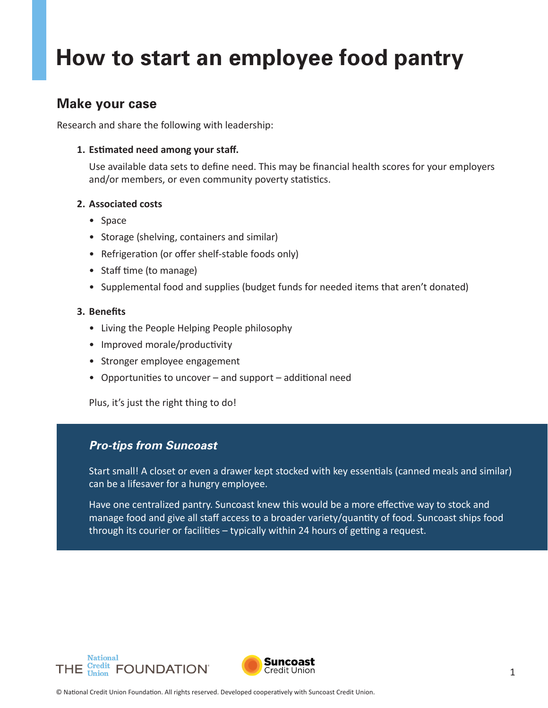# **How to start an employee food pantry**

### **Make your case**

Research and share the following with leadership:

#### **1. Estimated need among your staff.**

Use available data sets to define need. This may be financial health scores for your employers and/or members, or even community poverty statistics.

#### **2. Associated costs**

- Space
- Storage (shelving, containers and similar)
- Refrigeration (or offer shelf-stable foods only)
- Staff time (to manage)
- Supplemental food and supplies (budget funds for needed items that aren't donated)

#### **3. Benefits**

- Living the People Helping People philosophy
- Improved morale/productivity
- Stronger employee engagement
- Opportunities to uncover and support additional need

Plus, it's just the right thing to do!

#### *Pro-tips from Suncoast*

Start small! A closet or even a drawer kept stocked with key essentials (canned meals and similar) can be a lifesaver for a hungry employee.

Have one centralized pantry. Suncoast knew this would be a more effective way to stock and manage food and give all staff access to a broader variety/quantity of food. Suncoast ships food through its courier or facilities – typically within 24 hours of getting a request.